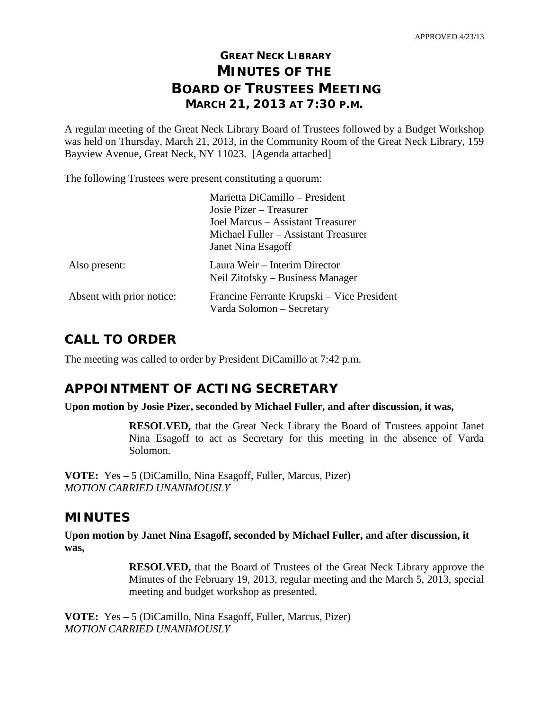## **GREAT NECK LIBRARY MINUTES OF THE BOARD OF TRUSTEES MEETING MARCH 21, 2013 AT 7:30 P.M.**

A regular meeting of the Great Neck Library Board of Trustees followed by a Budget Workshop was held on Thursday, March 21, 2013, in the Community Room of the Great Neck Library, 159 Bayview Avenue, Great Neck, NY 11023. [Agenda attached]

The following Trustees were present constituting a quorum:

|                           | Marietta DiCamillo - President<br>Josie Pizer – Treasurer<br>Joel Marcus - Assistant Treasurer<br>Michael Fuller - Assistant Treasurer<br>Janet Nina Esagoff |
|---------------------------|--------------------------------------------------------------------------------------------------------------------------------------------------------------|
| Also present:             | Laura Weir – Interim Director<br>Neil Zitofsky – Business Manager                                                                                            |
| Absent with prior notice: | Francine Ferrante Krupski – Vice President<br>Varda Solomon – Secretary                                                                                      |

## **CALL TO ORDER**

The meeting was called to order by President DiCamillo at 7:42 p.m.

## **APPOINTMENT OF ACTING SECRETARY**

**Upon motion by Josie Pizer, seconded by Michael Fuller, and after discussion, it was,**

**RESOLVED,** that the Great Neck Library the Board of Trustees appoint Janet Nina Esagoff to act as Secretary for this meeting in the absence of Varda Solomon.

**VOTE:** Yes – 5 (DiCamillo, Nina Esagoff, Fuller, Marcus, Pizer) *MOTION CARRIED UNANIMOUSLY* 

### **MINUTES**

**Upon motion by Janet Nina Esagoff, seconded by Michael Fuller, and after discussion, it was,**

> **RESOLVED,** that the Board of Trustees of the Great Neck Library approve the Minutes of the February 19, 2013, regular meeting and the March 5, 2013, special meeting and budget workshop as presented.

**VOTE:** Yes – 5 (DiCamillo, Nina Esagoff, Fuller, Marcus, Pizer) *MOTION CARRIED UNANIMOUSLY*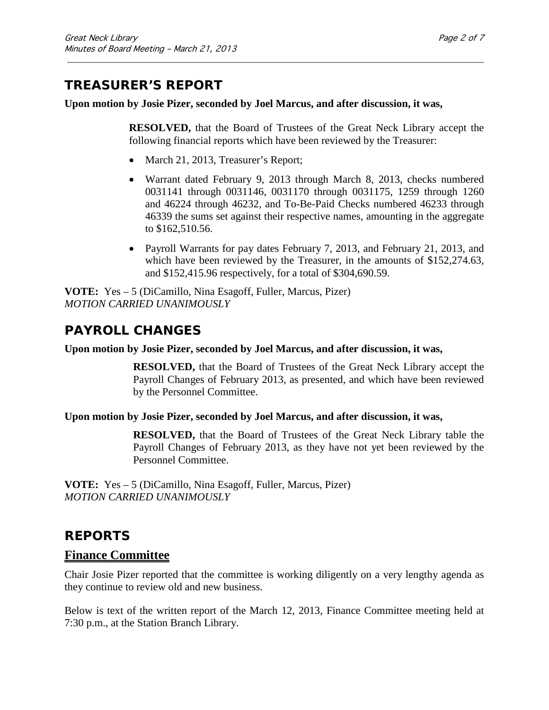## **TREASURER'S REPORT**

**Upon motion by Josie Pizer, seconded by Joel Marcus, and after discussion, it was,**

\_\_\_\_\_\_\_\_\_\_\_\_\_\_\_\_\_\_\_\_\_\_\_\_\_\_\_\_\_\_\_\_\_\_\_\_\_\_\_\_\_\_\_\_\_\_\_\_\_\_\_\_\_\_\_\_\_\_\_\_\_\_\_\_\_\_\_\_\_\_\_\_\_\_\_\_\_\_\_\_\_\_\_\_\_\_\_\_\_\_\_\_\_

**RESOLVED,** that the Board of Trustees of the Great Neck Library accept the following financial reports which have been reviewed by the Treasurer:

- March 21, 2013, Treasurer's Report;
- Warrant dated February 9, 2013 through March 8, 2013, checks numbered 0031141 through 0031146, 0031170 through 0031175, 1259 through 1260 and 46224 through 46232, and To-Be-Paid Checks numbered 46233 through 46339 the sums set against their respective names, amounting in the aggregate to \$162,510.56.
- Payroll Warrants for pay dates February 7, 2013, and February 21, 2013, and which have been reviewed by the Treasurer, in the amounts of \$152,274.63, and \$152,415.96 respectively, for a total of \$304,690.59.

**VOTE:** Yes – 5 (DiCamillo, Nina Esagoff, Fuller, Marcus, Pizer) *MOTION CARRIED UNANIMOUSLY*

## **PAYROLL CHANGES**

#### **Upon motion by Josie Pizer, seconded by Joel Marcus, and after discussion, it was,**

**RESOLVED,** that the Board of Trustees of the Great Neck Library accept the Payroll Changes of February 2013, as presented, and which have been reviewed by the Personnel Committee.

#### **Upon motion by Josie Pizer, seconded by Joel Marcus, and after discussion, it was,**

**RESOLVED,** that the Board of Trustees of the Great Neck Library table the Payroll Changes of February 2013, as they have not yet been reviewed by the Personnel Committee.

**VOTE:** Yes – 5 (DiCamillo, Nina Esagoff, Fuller, Marcus, Pizer) *MOTION CARRIED UNANIMOUSLY*

## **REPORTS**

### **Finance Committee**

Chair Josie Pizer reported that the committee is working diligently on a very lengthy agenda as they continue to review old and new business.

Below is text of the written report of the March 12, 2013, Finance Committee meeting held at 7:30 p.m., at the Station Branch Library.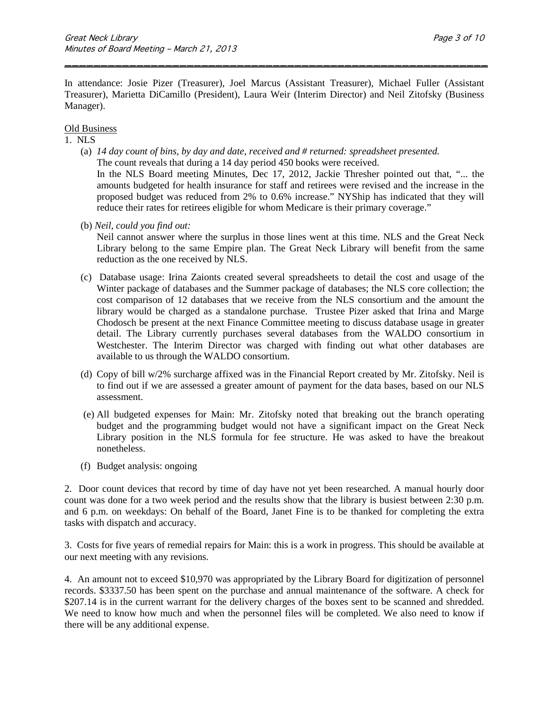In attendance: Josie Pizer (Treasurer), Joel Marcus (Assistant Treasurer), Michael Fuller (Assistant Treasurer), Marietta DiCamillo (President), Laura Weir (Interim Director) and Neil Zitofsky (Business Manager).

\_\_\_\_\_\_\_\_\_\_\_\_\_\_\_\_\_\_\_\_\_\_\_\_\_\_\_\_\_\_\_\_\_\_\_\_\_\_\_\_\_\_\_\_\_\_\_\_\_\_\_\_\_\_\_\_\_\_\_

#### Old Business

#### 1. NLS

- (a) *14 day count of bins, by day and date, received and # returned: spreadsheet presented.* The count reveals that during a 14 day period 450 books were received. In the NLS Board meeting Minutes, Dec 17, 2012, Jackie Thresher pointed out that, "... the amounts budgeted for health insurance for staff and retirees were revised and the increase in the proposed budget was reduced from 2% to 0.6% increase." NYShip has indicated that they will reduce their rates for retirees eligible for whom Medicare is their primary coverage."
- (b) *Neil, could you find out:*

Neil cannot answer where the surplus in those lines went at this time. NLS and the Great Neck Library belong to the same Empire plan. The Great Neck Library will benefit from the same reduction as the one received by NLS.

- (c) Database usage: Irina Zaionts created several spreadsheets to detail the cost and usage of the Winter package of databases and the Summer package of databases; the NLS core collection; the cost comparison of 12 databases that we receive from the NLS consortium and the amount the library would be charged as a standalone purchase. Trustee Pizer asked that Irina and Marge Chodosch be present at the next Finance Committee meeting to discuss database usage in greater detail. The Library currently purchases several databases from the WALDO consortium in Westchester. The Interim Director was charged with finding out what other databases are available to us through the WALDO consortium.
- (d) Copy of bill w/2% surcharge affixed was in the Financial Report created by Mr. Zitofsky. Neil is to find out if we are assessed a greater amount of payment for the data bases, based on our NLS assessment.
- (e) All budgeted expenses for Main: Mr. Zitofsky noted that breaking out the branch operating budget and the programming budget would not have a significant impact on the Great Neck Library position in the NLS formula for fee structure. He was asked to have the breakout nonetheless.
- (f) Budget analysis: ongoing

2. Door count devices that record by time of day have not yet been researched. A manual hourly door count was done for a two week period and the results show that the library is busiest between 2:30 p.m. and 6 p.m. on weekdays: On behalf of the Board, Janet Fine is to be thanked for completing the extra tasks with dispatch and accuracy.

3. Costs for five years of remedial repairs for Main: this is a work in progress. This should be available at our next meeting with any revisions.

4. An amount not to exceed \$10,970 was appropriated by the Library Board for digitization of personnel records. \$3337.50 has been spent on the purchase and annual maintenance of the software. A check for \$207.14 is in the current warrant for the delivery charges of the boxes sent to be scanned and shredded. We need to know how much and when the personnel files will be completed. We also need to know if there will be any additional expense.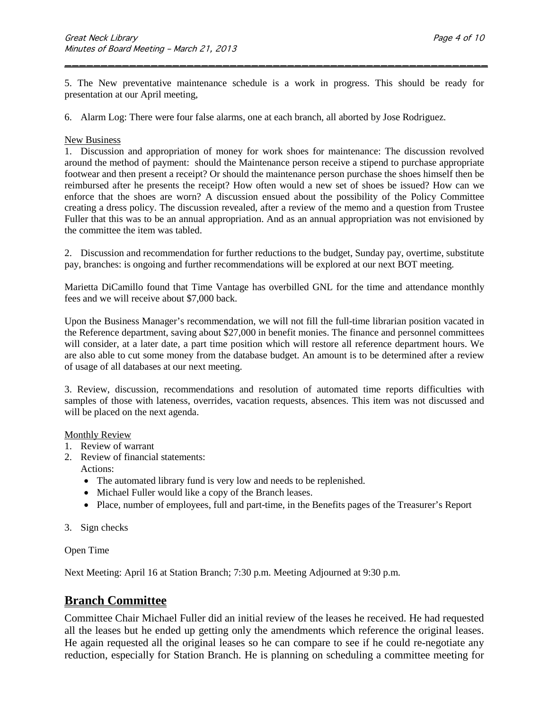5. The New preventative maintenance schedule is a work in progress. This should be ready for presentation at our April meeting,

\_\_\_\_\_\_\_\_\_\_\_\_\_\_\_\_\_\_\_\_\_\_\_\_\_\_\_\_\_\_\_\_\_\_\_\_\_\_\_\_\_\_\_\_\_\_\_\_\_\_\_\_\_\_\_\_\_\_\_

6. Alarm Log: There were four false alarms, one at each branch, all aborted by Jose Rodriguez.

#### New Business

1. Discussion and appropriation of money for work shoes for maintenance: The discussion revolved around the method of payment: should the Maintenance person receive a stipend to purchase appropriate footwear and then present a receipt? Or should the maintenance person purchase the shoes himself then be reimbursed after he presents the receipt? How often would a new set of shoes be issued? How can we enforce that the shoes are worn? A discussion ensued about the possibility of the Policy Committee creating a dress policy. The discussion revealed, after a review of the memo and a question from Trustee Fuller that this was to be an annual appropriation. And as an annual appropriation was not envisioned by the committee the item was tabled.

2. Discussion and recommendation for further reductions to the budget, Sunday pay, overtime, substitute pay, branches: is ongoing and further recommendations will be explored at our next BOT meeting.

Marietta DiCamillo found that Time Vantage has overbilled GNL for the time and attendance monthly fees and we will receive about \$7,000 back.

Upon the Business Manager's recommendation, we will not fill the full-time librarian position vacated in the Reference department, saving about \$27,000 in benefit monies. The finance and personnel committees will consider, at a later date, a part time position which will restore all reference department hours. We are also able to cut some money from the database budget. An amount is to be determined after a review of usage of all databases at our next meeting.

3. Review, discussion, recommendations and resolution of automated time reports difficulties with samples of those with lateness, overrides, vacation requests, absences. This item was not discussed and will be placed on the next agenda.

#### Monthly Review

- 1. Review of warrant
- 2. Review of financial statements: Actions:
	- The automated library fund is very low and needs to be replenished.
	- Michael Fuller would like a copy of the Branch leases.
	- Place, number of employees, full and part-time, in the Benefits pages of the Treasurer's Report
- 3. Sign checks

#### Open Time

Next Meeting: April 16 at Station Branch; 7:30 p.m. Meeting Adjourned at 9:30 p.m.

### **Branch Committee**

Committee Chair Michael Fuller did an initial review of the leases he received. He had requested all the leases but he ended up getting only the amendments which reference the original leases. He again requested all the original leases so he can compare to see if he could re-negotiate any reduction, especially for Station Branch. He is planning on scheduling a committee meeting for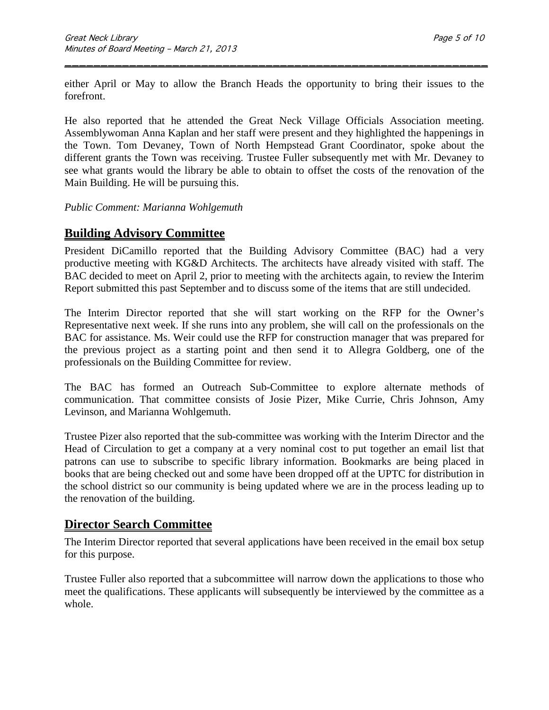either April or May to allow the Branch Heads the opportunity to bring their issues to the forefront.

\_\_\_\_\_\_\_\_\_\_\_\_\_\_\_\_\_\_\_\_\_\_\_\_\_\_\_\_\_\_\_\_\_\_\_\_\_\_\_\_\_\_\_\_\_\_\_\_\_\_\_\_\_\_\_\_\_\_\_

He also reported that he attended the Great Neck Village Officials Association meeting. Assemblywoman Anna Kaplan and her staff were present and they highlighted the happenings in the Town. Tom Devaney, Town of North Hempstead Grant Coordinator, spoke about the different grants the Town was receiving. Trustee Fuller subsequently met with Mr. Devaney to see what grants would the library be able to obtain to offset the costs of the renovation of the Main Building. He will be pursuing this.

#### *Public Comment: Marianna Wohlgemuth*

## **Building Advisory Committee**

President DiCamillo reported that the Building Advisory Committee (BAC) had a very productive meeting with KG&D Architects. The architects have already visited with staff. The BAC decided to meet on April 2, prior to meeting with the architects again, to review the Interim Report submitted this past September and to discuss some of the items that are still undecided.

The Interim Director reported that she will start working on the RFP for the Owner's Representative next week. If she runs into any problem, she will call on the professionals on the BAC for assistance. Ms. Weir could use the RFP for construction manager that was prepared for the previous project as a starting point and then send it to Allegra Goldberg, one of the professionals on the Building Committee for review.

The BAC has formed an Outreach Sub-Committee to explore alternate methods of communication. That committee consists of Josie Pizer, Mike Currie, Chris Johnson, Amy Levinson, and Marianna Wohlgemuth.

Trustee Pizer also reported that the sub-committee was working with the Interim Director and the Head of Circulation to get a company at a very nominal cost to put together an email list that patrons can use to subscribe to specific library information. Bookmarks are being placed in books that are being checked out and some have been dropped off at the UPTC for distribution in the school district so our community is being updated where we are in the process leading up to the renovation of the building.

### **Director Search Committee**

The Interim Director reported that several applications have been received in the email box setup for this purpose.

Trustee Fuller also reported that a subcommittee will narrow down the applications to those who meet the qualifications. These applicants will subsequently be interviewed by the committee as a whole.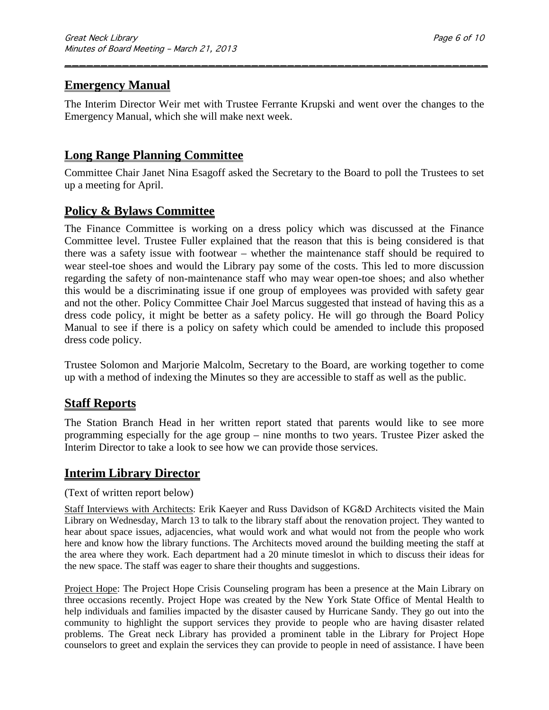### **Emergency Manual**

The Interim Director Weir met with Trustee Ferrante Krupski and went over the changes to the Emergency Manual, which she will make next week.

\_\_\_\_\_\_\_\_\_\_\_\_\_\_\_\_\_\_\_\_\_\_\_\_\_\_\_\_\_\_\_\_\_\_\_\_\_\_\_\_\_\_\_\_\_\_\_\_\_\_\_\_\_\_\_\_\_\_\_

### **Long Range Planning Committee**

Committee Chair Janet Nina Esagoff asked the Secretary to the Board to poll the Trustees to set up a meeting for April.

### **Policy & Bylaws Committee**

The Finance Committee is working on a dress policy which was discussed at the Finance Committee level. Trustee Fuller explained that the reason that this is being considered is that there was a safety issue with footwear – whether the maintenance staff should be required to wear steel-toe shoes and would the Library pay some of the costs. This led to more discussion regarding the safety of non-maintenance staff who may wear open-toe shoes; and also whether this would be a discriminating issue if one group of employees was provided with safety gear and not the other. Policy Committee Chair Joel Marcus suggested that instead of having this as a dress code policy, it might be better as a safety policy. He will go through the Board Policy Manual to see if there is a policy on safety which could be amended to include this proposed dress code policy.

Trustee Solomon and Marjorie Malcolm, Secretary to the Board, are working together to come up with a method of indexing the Minutes so they are accessible to staff as well as the public.

### **Staff Reports**

The Station Branch Head in her written report stated that parents would like to see more programming especially for the age group – nine months to two years. Trustee Pizer asked the Interim Director to take a look to see how we can provide those services.

#### **Interim Library Director**

#### (Text of written report below)

Staff Interviews with Architects: Erik Kaeyer and Russ Davidson of KG&D Architects visited the Main Library on Wednesday, March 13 to talk to the library staff about the renovation project. They wanted to hear about space issues, adjacencies, what would work and what would not from the people who work here and know how the library functions. The Architects moved around the building meeting the staff at the area where they work. Each department had a 20 minute timeslot in which to discuss their ideas for the new space. The staff was eager to share their thoughts and suggestions.

Project Hope: The Project Hope Crisis Counseling program has been a presence at the Main Library on three occasions recently. Project Hope was created by the New York State Office of Mental Health to help individuals and families impacted by the disaster caused by Hurricane Sandy. They go out into the community to highlight the support services they provide to people who are having disaster related problems. The Great neck Library has provided a prominent table in the Library for Project Hope counselors to greet and explain the services they can provide to people in need of assistance. I have been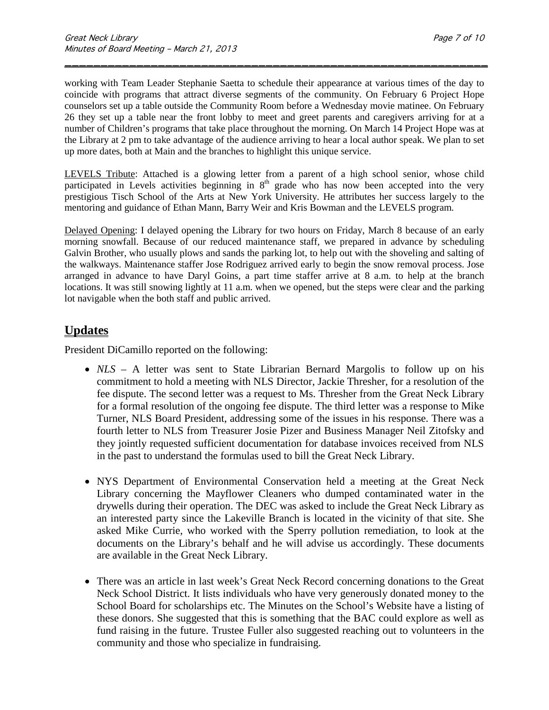working with Team Leader Stephanie Saetta to schedule their appearance at various times of the day to coincide with programs that attract diverse segments of the community. On February 6 Project Hope counselors set up a table outside the Community Room before a Wednesday movie matinee. On February 26 they set up a table near the front lobby to meet and greet parents and caregivers arriving for at a number of Children's programs that take place throughout the morning. On March 14 Project Hope was at the Library at 2 pm to take advantage of the audience arriving to hear a local author speak. We plan to set up more dates, both at Main and the branches to highlight this unique service.

\_\_\_\_\_\_\_\_\_\_\_\_\_\_\_\_\_\_\_\_\_\_\_\_\_\_\_\_\_\_\_\_\_\_\_\_\_\_\_\_\_\_\_\_\_\_\_\_\_\_\_\_\_\_\_\_\_\_\_

LEVELS Tribute: Attached is a glowing letter from a parent of a high school senior, whose child participated in Levels activities beginning in  $8<sup>th</sup>$  grade who has now been accepted into the very prestigious Tisch School of the Arts at New York University. He attributes her success largely to the mentoring and guidance of Ethan Mann, Barry Weir and Kris Bowman and the LEVELS program.

Delayed Opening: I delayed opening the Library for two hours on Friday, March 8 because of an early morning snowfall. Because of our reduced maintenance staff, we prepared in advance by scheduling Galvin Brother, who usually plows and sands the parking lot, to help out with the shoveling and salting of the walkways. Maintenance staffer Jose Rodriguez arrived early to begin the snow removal process. Jose arranged in advance to have Daryl Goins, a part time staffer arrive at 8 a.m. to help at the branch locations. It was still snowing lightly at 11 a.m. when we opened, but the steps were clear and the parking lot navigable when the both staff and public arrived.

### **Updates**

President DiCamillo reported on the following:

- *NLS* A letter was sent to State Librarian Bernard Margolis to follow up on his commitment to hold a meeting with NLS Director, Jackie Thresher, for a resolution of the fee dispute. The second letter was a request to Ms. Thresher from the Great Neck Library for a formal resolution of the ongoing fee dispute. The third letter was a response to Mike Turner, NLS Board President, addressing some of the issues in his response. There was a fourth letter to NLS from Treasurer Josie Pizer and Business Manager Neil Zitofsky and they jointly requested sufficient documentation for database invoices received from NLS in the past to understand the formulas used to bill the Great Neck Library.
- NYS Department of Environmental Conservation held a meeting at the Great Neck Library concerning the Mayflower Cleaners who dumped contaminated water in the drywells during their operation. The DEC was asked to include the Great Neck Library as an interested party since the Lakeville Branch is located in the vicinity of that site. She asked Mike Currie, who worked with the Sperry pollution remediation, to look at the documents on the Library's behalf and he will advise us accordingly. These documents are available in the Great Neck Library.
- There was an article in last week's Great Neck Record concerning donations to the Great Neck School District. It lists individuals who have very generously donated money to the School Board for scholarships etc. The Minutes on the School's Website have a listing of these donors. She suggested that this is something that the BAC could explore as well as fund raising in the future. Trustee Fuller also suggested reaching out to volunteers in the community and those who specialize in fundraising.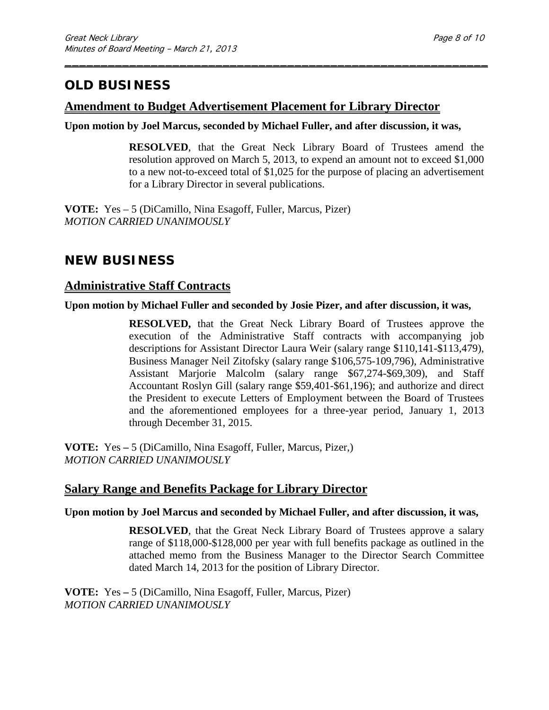# **OLD BUSINESS**

### **Amendment to Budget Advertisement Placement for Library Director**

**Upon motion by Joel Marcus, seconded by Michael Fuller, and after discussion, it was,**

\_\_\_\_\_\_\_\_\_\_\_\_\_\_\_\_\_\_\_\_\_\_\_\_\_\_\_\_\_\_\_\_\_\_\_\_\_\_\_\_\_\_\_\_\_\_\_\_\_\_\_\_\_\_\_\_\_\_\_

**RESOLVED**, that the Great Neck Library Board of Trustees amend the resolution approved on March 5, 2013, to expend an amount not to exceed \$1,000 to a new not-to-exceed total of \$1,025 for the purpose of placing an advertisement for a Library Director in several publications.

**VOTE:** Yes – 5 (DiCamillo, Nina Esagoff, Fuller, Marcus, Pizer) *MOTION CARRIED UNANIMOUSLY*

## **NEW BUSINESS**

### **Administrative Staff Contracts**

#### **Upon motion by Michael Fuller and seconded by Josie Pizer, and after discussion, it was,**

**RESOLVED,** that the Great Neck Library Board of Trustees approve the execution of the Administrative Staff contracts with accompanying job descriptions for Assistant Director Laura Weir (salary range \$110,141-\$113,479), Business Manager Neil Zitofsky (salary range \$106,575-109,796), Administrative Assistant Marjorie Malcolm (salary range \$67,274-\$69,309), and Staff Accountant Roslyn Gill (salary range \$59,401-\$61,196); and authorize and direct the President to execute Letters of Employment between the Board of Trustees and the aforementioned employees for a three-year period, January 1, 2013 through December 31, 2015.

**VOTE:** Yes **–** 5 (DiCamillo, Nina Esagoff, Fuller, Marcus, Pizer,) *MOTION CARRIED UNANIMOUSLY*

### **Salary Range and Benefits Package for Library Director**

#### **Upon motion by Joel Marcus and seconded by Michael Fuller, and after discussion, it was,**

**RESOLVED**, that the Great Neck Library Board of Trustees approve a salary range of \$118,000-\$128,000 per year with full benefits package as outlined in the attached memo from the Business Manager to the Director Search Committee dated March 14, 2013 for the position of Library Director.

**VOTE:** Yes **–** 5 (DiCamillo, Nina Esagoff, Fuller, Marcus, Pizer) *MOTION CARRIED UNANIMOUSLY*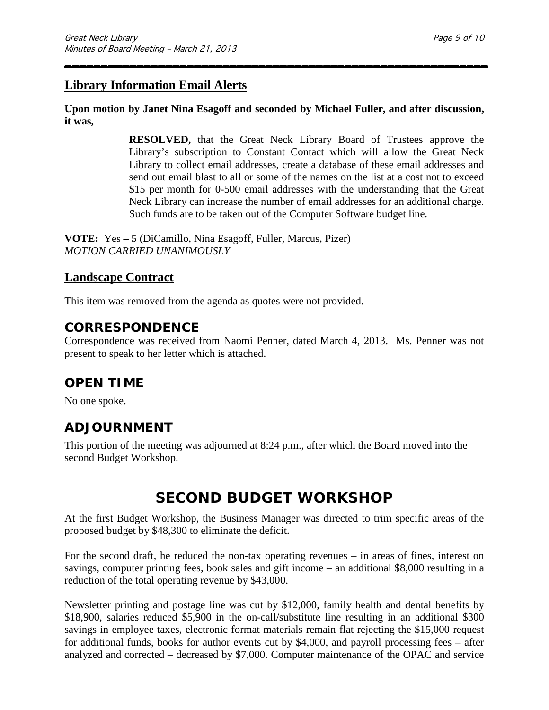### **Library Information Email Alerts**

**Upon motion by Janet Nina Esagoff and seconded by Michael Fuller, and after discussion, it was,**

\_\_\_\_\_\_\_\_\_\_\_\_\_\_\_\_\_\_\_\_\_\_\_\_\_\_\_\_\_\_\_\_\_\_\_\_\_\_\_\_\_\_\_\_\_\_\_\_\_\_\_\_\_\_\_\_\_\_\_

**RESOLVED,** that the Great Neck Library Board of Trustees approve the Library's subscription to Constant Contact which will allow the Great Neck Library to collect email addresses, create a database of these email addresses and send out email blast to all or some of the names on the list at a cost not to exceed \$15 per month for 0-500 email addresses with the understanding that the Great Neck Library can increase the number of email addresses for an additional charge. Such funds are to be taken out of the Computer Software budget line.

**VOTE:** Yes **–** 5 (DiCamillo, Nina Esagoff, Fuller, Marcus, Pizer) *MOTION CARRIED UNANIMOUSLY*

### **Landscape Contract**

This item was removed from the agenda as quotes were not provided.

### **CORRESPONDENCE**

Correspondence was received from Naomi Penner, dated March 4, 2013. Ms. Penner was not present to speak to her letter which is attached.

## **OPEN TIME**

No one spoke.

## **ADJOURNMENT**

This portion of the meeting was adjourned at 8:24 p.m., after which the Board moved into the second Budget Workshop.

# **SECOND BUDGET WORKSHOP**

At the first Budget Workshop, the Business Manager was directed to trim specific areas of the proposed budget by \$48,300 to eliminate the deficit.

For the second draft, he reduced the non-tax operating revenues – in areas of fines, interest on savings, computer printing fees, book sales and gift income – an additional \$8,000 resulting in a reduction of the total operating revenue by \$43,000.

Newsletter printing and postage line was cut by \$12,000, family health and dental benefits by \$18,900, salaries reduced \$5,900 in the on-call/substitute line resulting in an additional \$300 savings in employee taxes, electronic format materials remain flat rejecting the \$15,000 request for additional funds, books for author events cut by \$4,000, and payroll processing fees – after analyzed and corrected – decreased by \$7,000. Computer maintenance of the OPAC and service